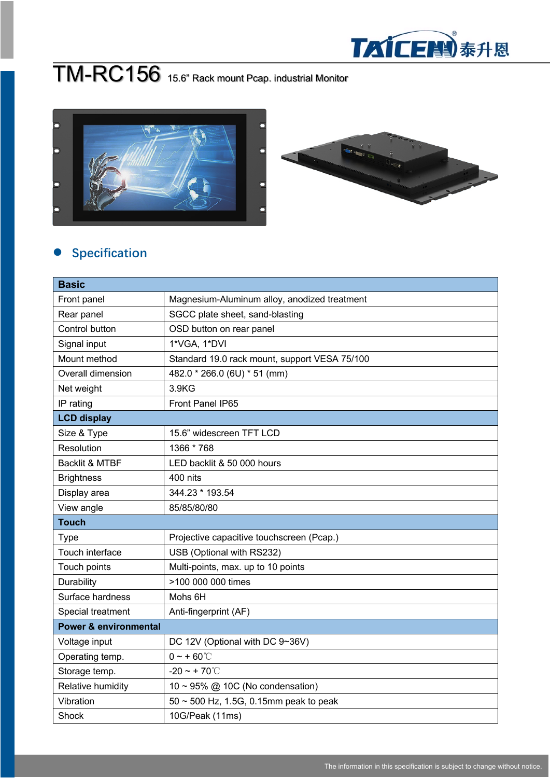

## TM-RC156 15.6" Rack mount Pcap. industrial Monitor



## l **Specification**

| <b>Basic</b>                     |                                               |  |
|----------------------------------|-----------------------------------------------|--|
| Front panel                      | Magnesium-Aluminum alloy, anodized treatment  |  |
| Rear panel                       | SGCC plate sheet, sand-blasting               |  |
| Control button                   | OSD button on rear panel                      |  |
| Signal input                     | 1*VGA, 1*DVI                                  |  |
| Mount method                     | Standard 19.0 rack mount, support VESA 75/100 |  |
| Overall dimension                | 482.0 * 266.0 (6U) * 51 (mm)                  |  |
| Net weight                       | 3.9KG                                         |  |
| IP rating                        | Front Panel IP65                              |  |
| <b>LCD display</b>               |                                               |  |
| Size & Type                      | 15.6" widescreen TFT LCD                      |  |
| Resolution                       | 1366 * 768                                    |  |
| <b>Backlit &amp; MTBF</b>        | LED backlit & 50 000 hours                    |  |
| <b>Brightness</b>                | 400 nits                                      |  |
| Display area                     | 344.23 * 193.54                               |  |
| View angle                       | 85/85/80/80                                   |  |
| <b>Touch</b>                     |                                               |  |
| <b>Type</b>                      | Projective capacitive touchscreen (Pcap.)     |  |
| Touch interface                  | USB (Optional with RS232)                     |  |
| Touch points                     | Multi-points, max. up to 10 points            |  |
| Durability                       | >100 000 000 times                            |  |
| Surface hardness                 | Mohs 6H                                       |  |
| Special treatment                | Anti-fingerprint (AF)                         |  |
| <b>Power &amp; environmental</b> |                                               |  |
| Voltage input                    | DC 12V (Optional with DC 9~36V)               |  |
| Operating temp.                  | $0 - + 60^{\circ}$                            |  |
| Storage temp.                    | $-20 - + 70^{\circ}$                          |  |
| Relative humidity                | 10 ~ 95% @ 10C (No condensation)              |  |
| Vibration                        | 50 ~ 500 Hz, 1.5G, 0.15mm peak to peak        |  |
| Shock                            | 10G/Peak (11ms)                               |  |